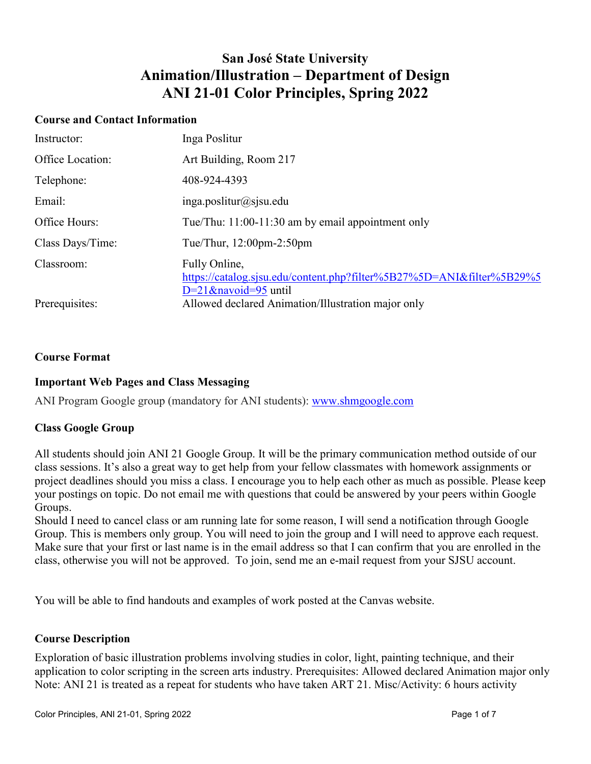# **San José State University Animation/Illustration – Department of Design ANI 21-01 Color Principles, Spring 2022**

### **Course and Contact Information**

| Instructor:      | Inga Poslitur                                                                                                     |
|------------------|-------------------------------------------------------------------------------------------------------------------|
| Office Location: | Art Building, Room 217                                                                                            |
| Telephone:       | 408-924-4393                                                                                                      |
| Email:           | $inga.$ poslitur@sjsu.edu                                                                                         |
| Office Hours:    | Tue/Thu: 11:00-11:30 am by email appointment only                                                                 |
| Class Days/Time: | Tue/Thur, $12:00$ pm- $2:50$ pm                                                                                   |
| Classroom:       | Fully Online,<br>https://catalog.sjsu.edu/content.php?filter%5B27%5D=ANI&filter%5B29%5<br>$D=21$ &navoid=95 until |
| Prerequisites:   | Allowed declared Animation/Illustration major only                                                                |

# **Course Format**

# **Important Web Pages and Class Messaging**

ANI Program Google group (mandatory for ANI students): [www.shmgoogle.com](http://www.shmgoogle.com/)

# **Class Google Group**

All students should join ANI 21 Google Group. It will be the primary communication method outside of our class sessions. It's also a great way to get help from your fellow classmates with homework assignments or project deadlines should you miss a class. I encourage you to help each other as much as possible. Please keep your postings on topic. Do not email me with questions that could be answered by your peers within Google Groups.

Should I need to cancel class or am running late for some reason, I will send a notification through Google Group. This is members only group. You will need to join the group and I will need to approve each request. Make sure that your first or last name is in the email address so that I can confirm that you are enrolled in the class, otherwise you will not be approved. To join, send me an e-mail request from your SJSU account.

You will be able to find handouts and examples of work posted at the Canvas website.

# **Course Description**

Exploration of basic illustration problems involving studies in color, light, painting technique, and their application to color scripting in the screen arts industry. Prerequisites: Allowed declared Animation major only Note: ANI 21 is treated as a repeat for students who have taken ART 21. Misc/Activity: 6 hours activity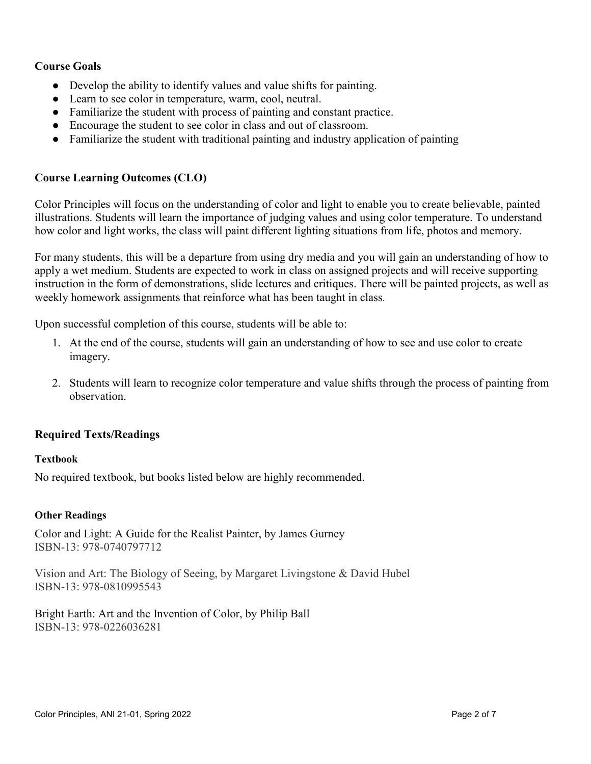# **Course Goals**

- Develop the ability to identify values and value shifts for painting.
- Learn to see color in temperature, warm, cool, neutral.
- Familiarize the student with process of painting and constant practice.
- Encourage the student to see color in class and out of classroom.
- Familiarize the student with traditional painting and industry application of painting

# **Course Learning Outcomes (CLO)**

Color Principles will focus on the understanding of color and light to enable you to create believable, painted illustrations. Students will learn the importance of judging values and using color temperature. To understand how color and light works, the class will paint different lighting situations from life, photos and memory.

For many students, this will be a departure from using dry media and you will gain an understanding of how to apply a wet medium. Students are expected to work in class on assigned projects and will receive supporting instruction in the form of demonstrations, slide lectures and critiques. There will be painted projects, as well as weekly homework assignments that reinforce what has been taught in class.

Upon successful completion of this course, students will be able to:

- 1. At the end of the course, students will gain an understanding of how to see and use color to create imagery.
- 2. Students will learn to recognize color temperature and value shifts through the process of painting from observation.

# **Required Texts/Readings**

# **Textbook**

No required textbook, but books listed below are highly recommended.

### **Other Readings**

Color and Light: A Guide for the Realist Painter, by James Gurney ISBN-13: 978-0740797712

Vision and Art: The Biology of Seeing, by Margaret Livingstone & David Hubel ISBN-13: 978-0810995543

Bright Earth: Art and the Invention of Color, by Philip Ball ISBN-13: 978-0226036281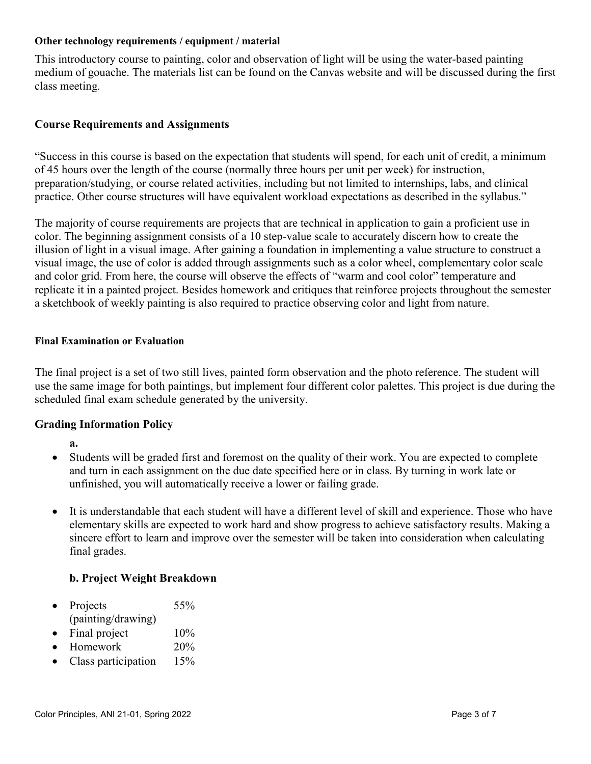#### **Other technology requirements / equipment / material**

This introductory course to painting, color and observation of light will be using the water-based painting medium of gouache. The materials list can be found on the Canvas website and will be discussed during the first class meeting.

# **Course Requirements and Assignments**

"Success in this course is based on the expectation that students will spend, for each unit of credit, a minimum of 45 hours over the length of the course (normally three hours per unit per week) for instruction, preparation/studying, or course related activities, including but not limited to internships, labs, and clinical practice. Other course structures will have equivalent workload expectations as described in the syllabus."

The majority of course requirements are projects that are technical in application to gain a proficient use in color. The beginning assignment consists of a 10 step-value scale to accurately discern how to create the illusion of light in a visual image. After gaining a foundation in implementing a value structure to construct a visual image, the use of color is added through assignments such as a color wheel, complementary color scale and color grid. From here, the course will observe the effects of "warm and cool color" temperature and replicate it in a painted project. Besides homework and critiques that reinforce projects throughout the semester a sketchbook of weekly painting is also required to practice observing color and light from nature.

#### **Final Examination or Evaluation**

The final project is a set of two still lives, painted form observation and the photo reference. The student will use the same image for both paintings, but implement four different color palettes. This project is due during the scheduled final exam schedule generated by the university.

# **Grading Information Policy**

- **a.**
- Students will be graded first and foremost on the quality of their work. You are expected to complete and turn in each assignment on the due date specified here or in class. By turning in work late or unfinished, you will automatically receive a lower or failing grade.
- It is understandable that each student will have a different level of skill and experience. Those who have elementary skills are expected to work hard and show progress to achieve satisfactory results. Making a sincere effort to learn and improve over the semester will be taken into consideration when calculating final grades.

# **b. Project Weight Breakdown**

- Projects 55% (painting/drawing)
- Final project  $10\%$
- Homework 20%
- Class participation 15%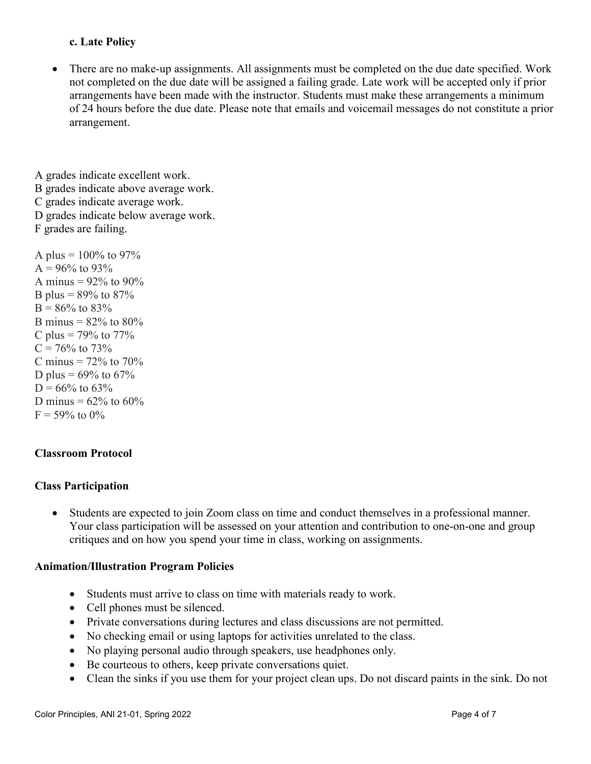# **c. Late Policy**

There are no make-up assignments. All assignments must be completed on the due date specified. Work not completed on the due date will be assigned a failing grade. Late work will be accepted only if prior arrangements have been made with the instructor. Students must make these arrangements a minimum of 24 hours before the due date. Please note that emails and voicemail messages do not constitute a prior arrangement.

A grades indicate excellent work. B grades indicate above average work. C grades indicate average work. D grades indicate below average work. F grades are failing.

A plus =  $100\%$  to 97%  $A = 96\%$  to 93% A minus =  $92\%$  to  $90\%$ B plus =  $89\%$  to  $87\%$  $B = 86\%$  to 83% B minus =  $82\%$  to  $80\%$ C plus =  $79\%$  to  $77\%$  $C = 76\%$  to 73% C minus  $= 72\%$  to 70% D plus =  $69\%$  to  $67\%$  $D = 66\%$  to 63% D minus =  $62\%$  to  $60\%$  $F = 59\%$  to 0%

# **Classroom Protocol**

# **Class Participation**

• Students are expected to join Zoom class on time and conduct themselves in a professional manner. Your class participation will be assessed on your attention and contribution to one-on-one and group critiques and on how you spend your time in class, working on assignments.

# **Animation/Illustration Program Policies**

- Students must arrive to class on time with materials ready to work.
- Cell phones must be silenced.
- Private conversations during lectures and class discussions are not permitted.
- No checking email or using laptops for activities unrelated to the class.
- No playing personal audio through speakers, use headphones only.
- Be courteous to others, keep private conversations quiet.
- Clean the sinks if you use them for your project clean ups. Do not discard paints in the sink. Do not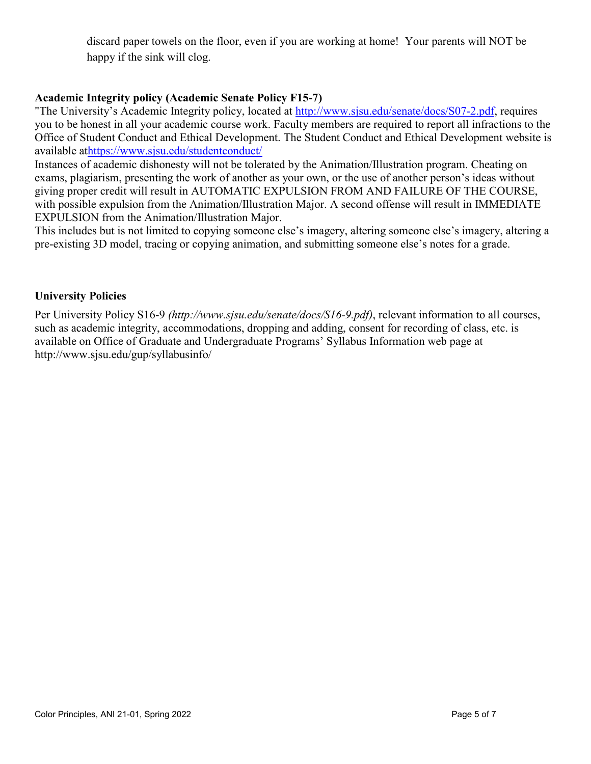discard paper towels on the floor, even if you are working at home! Your parents will NOT be happy if the sink will clog.

# **Academic Integrity policy (Academic Senate Policy F15-7)**

"The University's Academic Integrity policy, located at [http://www.sjsu.edu/senate/docs/S07-2.pdf,](http://www.sjsu.edu/senate/docs/S07-2.pdf) requires you to be honest in all your academic course work. Faculty members are required to report all infractions to the Office of Student Conduct and Ethical Development. The Student Conduct and Ethical Development website is available a[thttps://www.sjsu.edu/studentconduct/](https://www.sjsu.edu/studentconduct/)

Instances of academic dishonesty will not be tolerated by the Animation/Illustration program. Cheating on exams, plagiarism, presenting the work of another as your own, or the use of another person's ideas without giving proper credit will result in AUTOMATIC EXPULSION FROM AND FAILURE OF THE COURSE, with possible expulsion from the Animation/Illustration Major. A second offense will result in IMMEDIATE EXPULSION from the Animation/Illustration Major.

This includes but is not limited to copying someone else's imagery, altering someone else's imagery, altering a pre-existing 3D model, tracing or copying animation, and submitting someone else's notes for a grade.

# **University Policies**

Per University Policy S16-9 *(http://www.sjsu.edu/senate/docs/S16-9.pdf)*, relevant information to all courses, such as academic integrity, accommodations, dropping and adding, consent for recording of class, etc. is available on Office of Graduate and Undergraduate Programs' Syllabus Information web page at http://www.sjsu.edu/gup/syllabusinfo/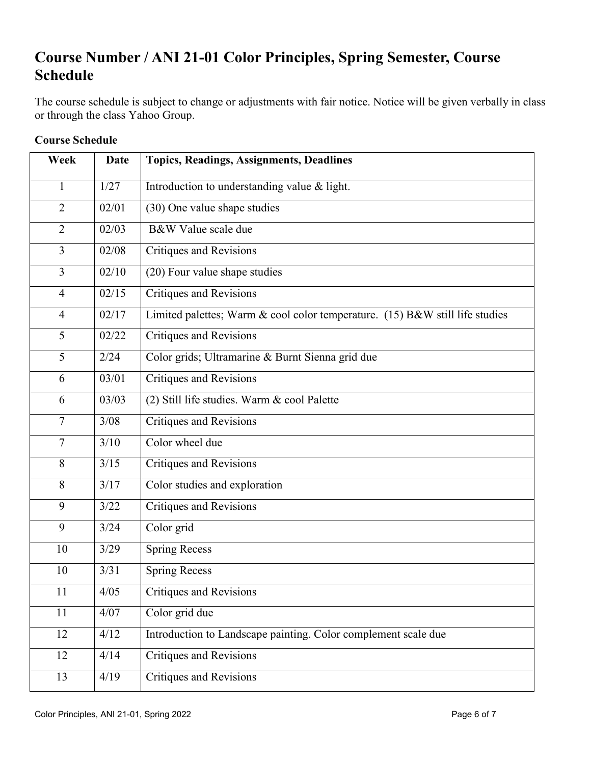# **Course Number / ANI 21-01 Color Principles, Spring Semester, Course Schedule**

The course schedule is subject to change or adjustments with fair notice. Notice will be given verbally in class or through the class Yahoo Group.

| Week           | Date               | <b>Topics, Readings, Assignments, Deadlines</b>                              |
|----------------|--------------------|------------------------------------------------------------------------------|
| $\mathbf{1}$   | 1/27               | Introduction to understanding value & light.                                 |
| $\overline{2}$ | 02/01              | (30) One value shape studies                                                 |
| $\overline{2}$ | 02/03              | B&W Value scale due                                                          |
| $\overline{3}$ | 02/08              | <b>Critiques and Revisions</b>                                               |
| $\overline{3}$ | 02/10              | (20) Four value shape studies                                                |
| $\overline{4}$ | $\overline{02/15}$ | <b>Critiques and Revisions</b>                                               |
| $\overline{4}$ | $\frac{02}{17}$    | Limited palettes; Warm & cool color temperature. (15) B&W still life studies |
| 5              | 02/22              | <b>Critiques and Revisions</b>                                               |
| 5              | 2/24               | Color grids; Ultramarine & Burnt Sienna grid due                             |
| 6              | $\sqrt{03/01}$     | <b>Critiques and Revisions</b>                                               |
| 6              | 03/03              | (2) Still life studies. Warm & cool Palette                                  |
| $\overline{7}$ | 3/08               | <b>Critiques and Revisions</b>                                               |
| $\overline{7}$ | 3/10               | Color wheel due                                                              |
| 8              | 3/15               | <b>Critiques and Revisions</b>                                               |
| 8              | 3/17               | Color studies and exploration                                                |
| 9              | 3/22               | <b>Critiques and Revisions</b>                                               |
| 9              | 3/24               | Color grid                                                                   |
| 10             | 3/29               | <b>Spring Recess</b>                                                         |
| 10             | 3/31               | <b>Spring Recess</b>                                                         |
| 11             | 4/05               | Critiques and Revisions                                                      |
| 11             | 4/07               | Color grid due                                                               |
| 12             | 4/12               | Introduction to Landscape painting. Color complement scale due               |
| 12             | 4/14               | <b>Critiques and Revisions</b>                                               |
| 13             | 4/19               | <b>Critiques and Revisions</b>                                               |

# **Course Schedule**